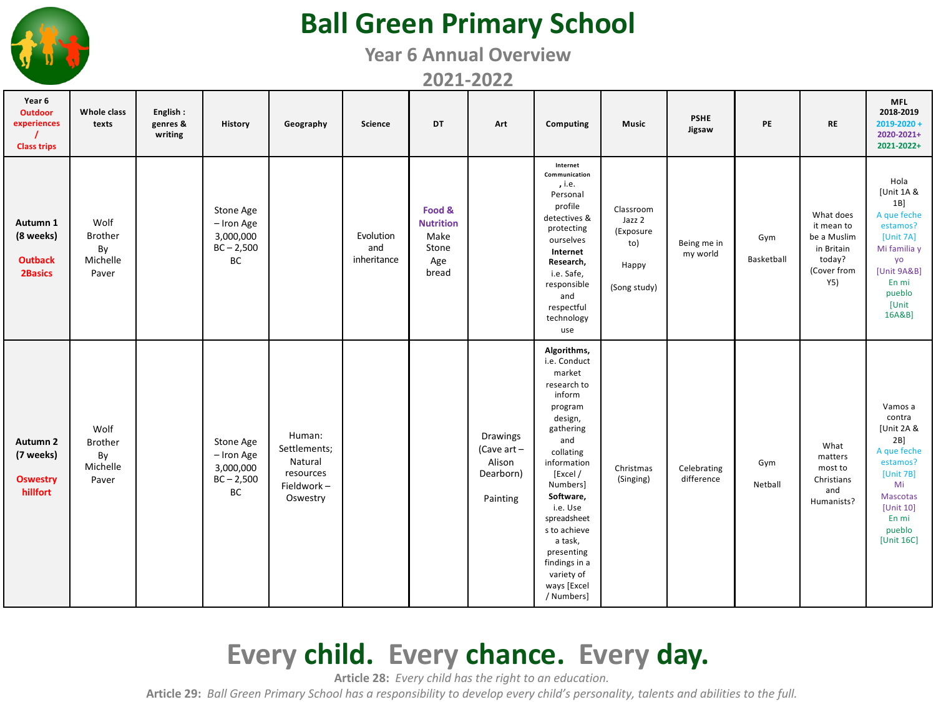

### **Ball Green Primary School**

**Year 6 Annual Overview**

**2021-2022**

| Year 6<br><b>Outdoor</b><br>experiences<br><b>Class trips</b>   | Whole class<br>texts                              | English:<br>genres &<br>writing | <b>History</b>                                             | Geography                                                                | Science                         | DT                                                          | Art                                                        | Computing                                                                                                                                                                                                                                                                                                 | <b>Music</b>                                                     | <b>PSHE</b><br>Jigsaw     | PE                | <b>RE</b>                                                                            | <b>MFL</b><br>2018-2019<br>$2019 - 2020 +$<br>2020-2021+<br>2021-2022+                                                                                   |
|-----------------------------------------------------------------|---------------------------------------------------|---------------------------------|------------------------------------------------------------|--------------------------------------------------------------------------|---------------------------------|-------------------------------------------------------------|------------------------------------------------------------|-----------------------------------------------------------------------------------------------------------------------------------------------------------------------------------------------------------------------------------------------------------------------------------------------------------|------------------------------------------------------------------|---------------------------|-------------------|--------------------------------------------------------------------------------------|----------------------------------------------------------------------------------------------------------------------------------------------------------|
| Autumn 1<br>(8 weeks)<br><b>Outback</b><br><b>2Basics</b>       | Wolf<br><b>Brother</b><br>By<br>Michelle<br>Paver |                                 | Stone Age<br>- Iron Age<br>3,000,000<br>$BC - 2,500$<br>BC |                                                                          | Evolution<br>and<br>inheritance | Food &<br><b>Nutrition</b><br>Make<br>Stone<br>Age<br>bread |                                                            | Internet<br>Communication<br>, i.e.<br>Personal<br>profile<br>detectives &<br>protecting<br>ourselves<br>Internet<br>Research,<br>i.e. Safe,<br>responsible<br>and<br>respectful<br>technology<br>use                                                                                                     | Classroom<br>Jazz 2<br>(Exposure<br>to)<br>Happy<br>(Song study) | Being me in<br>my world   | Gym<br>Basketball | What does<br>it mean to<br>be a Muslim<br>in Britain<br>today?<br>(Cover from<br>Y5) | Hola<br>[Unit 1A &<br>1B<br>A que feche<br>estamos?<br>[Unit 7A]<br>Mi familia y<br>yo<br>[Unit 9A&B]<br>En mi<br>pueblo<br>[Unit<br>16A&B]              |
| Autumn <sub>2</sub><br>(7 weeks)<br><b>Oswestry</b><br>hillfort | Wolf<br><b>Brother</b><br>By<br>Michelle<br>Paver |                                 | Stone Age<br>- Iron Age<br>3,000,000<br>$BC - 2,500$<br>BC | Human:<br>Settlements;<br>Natural<br>resources<br>Fieldwork-<br>Oswestry |                                 |                                                             | Drawings<br>(Cave art -<br>Alison<br>Dearborn)<br>Painting | Algorithms,<br>i.e. Conduct<br>market<br>research to<br>inform<br>program<br>design,<br>gathering<br>and<br>collating<br>information<br>[Excel /<br>Numbers]<br>Software,<br>i.e. Use<br>spreadsheet<br>s to achieve<br>a task,<br>presenting<br>findings in a<br>variety of<br>ways [Excel<br>/ Numbers] | Christmas<br>(Singing)                                           | Celebrating<br>difference | Gym<br>Netball    | What<br>matters<br>most to<br>Christians<br>and<br>Humanists?                        | Vamos a<br>contra<br>[Unit 2A &<br>$2B$ ]<br>A que feche<br>estamos?<br>[Unit 7B]<br>Mi<br><b>Mascotas</b><br>[Unit 10]<br>En mi<br>pueblo<br>[Unit 16C] |

# **Every child. Every chance. Every day.**

**Article 28:** *Every child has the right to an education.*

**Article 29:** *Ball Green Primary School has a responsibility to develop every child's personality, talents and abilities to the full.*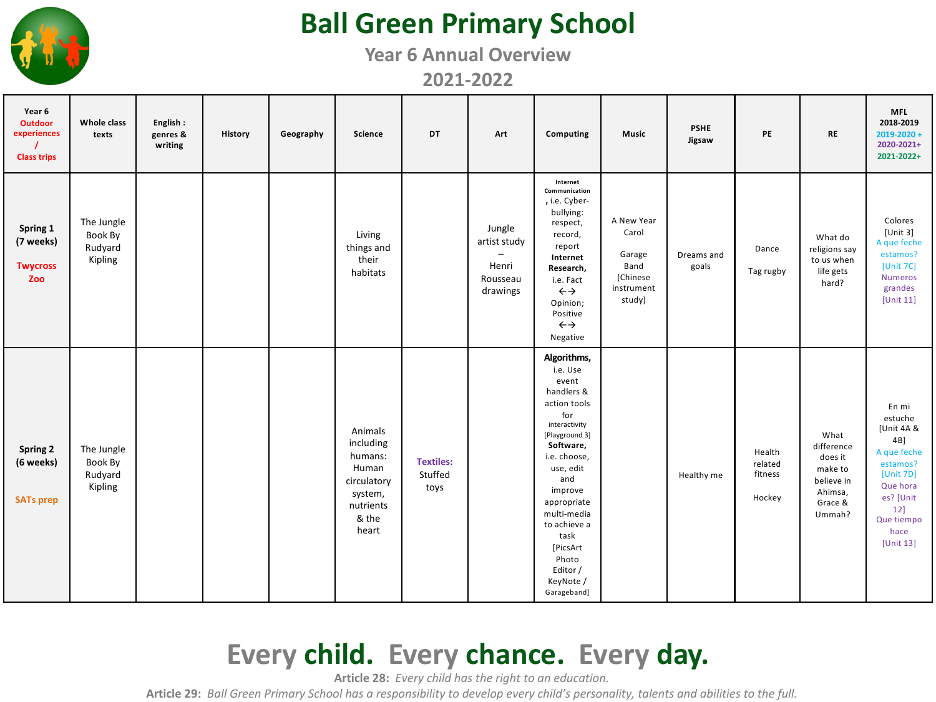

### **Ball Green Primary School**

**Year 6 Annual Overview**

**2021-2022**

| Year 6<br><b>Outdoor</b><br>experiences<br><b>Class trips</b> | Whole class<br>texts                        | English:<br>genres &<br>writing | <b>History</b> | Geography | Science                                                                                           | DT                                  | Art                                                     | Computing                                                                                                                                                                                                                                                                               | <b>Music</b>                                                              | <b>PSHE</b><br>Jigsaw | PE                                     | <b>RE</b>                                                                              | <b>MFL</b><br>2018-2019<br>$2019 - 2020 +$<br>2020-2021+<br>2021-2022+                                                                           |
|---------------------------------------------------------------|---------------------------------------------|---------------------------------|----------------|-----------|---------------------------------------------------------------------------------------------------|-------------------------------------|---------------------------------------------------------|-----------------------------------------------------------------------------------------------------------------------------------------------------------------------------------------------------------------------------------------------------------------------------------------|---------------------------------------------------------------------------|-----------------------|----------------------------------------|----------------------------------------------------------------------------------------|--------------------------------------------------------------------------------------------------------------------------------------------------|
| Spring 1<br>(7 weeks)<br><b>Twycross</b><br>Zoo               | The Jungle<br>Book By<br>Rudyard<br>Kipling |                                 |                |           | Living<br>things and<br>their<br>habitats                                                         |                                     | Jungle<br>artist study<br>Henri<br>Rousseau<br>drawings | Internet<br>Communication<br>, i.e. Cyber-<br>bullying:<br>respect,<br>record,<br>report<br>Internet<br>Research,<br>i.e. Fact<br>$\leftrightarrow$<br>Opinion;<br>Positive<br>$\leftrightarrow$<br>Negative                                                                            | A New Year<br>Carol<br>Garage<br>Band<br>(Chinese<br>instrument<br>study) | Dreams and<br>goals   | Dance<br>Tag rugby                     | What do<br>religions say<br>to us when<br>life gets<br>hard?                           | Colores<br>[Unit 3]<br>A que feche<br>estamos?<br>[Unit 7C]<br><b>Numeros</b><br>grandes<br>[Unit 11]                                            |
| Spring 2<br>(6 weeks)<br><b>SATs prep</b>                     | The Jungle<br>Book By<br>Rudyard<br>Kipling |                                 |                |           | Animals<br>including<br>humans:<br>Human<br>circulatory<br>system,<br>nutrients<br>& the<br>heart | <b>Textiles:</b><br>Stuffed<br>toys |                                                         | Algorithms,<br>i.e. Use<br>event<br>handlers &<br>action tools<br>for<br>interactivity<br>[Playground 3]<br>Software,<br>i.e. choose,<br>use, edit<br>and<br>improve<br>appropriate<br>multi-media<br>to achieve a<br>task<br>[PicsArt<br>Photo<br>Editor /<br>KeyNote /<br>Garageband] |                                                                           | Healthy me            | Health<br>related<br>fitness<br>Hockey | What<br>difference<br>does it<br>make to<br>believe in<br>Ahimsa,<br>Grace &<br>Ummah? | En mi<br>estuche<br>[Unit 4A &<br>4B]<br>A que feche<br>estamos?<br>[Unit 7D]<br>Que hora<br>es? [Unit<br>12]<br>Que tiempo<br>hace<br>[Unit 13] |

# **Every child. Every chance. Every day.**

**Article 28:** *Every child has the right to an education.*

**Article 29:** *Ball Green Primary School has a responsibility to develop every child's personality, talents and abilities to the full.*